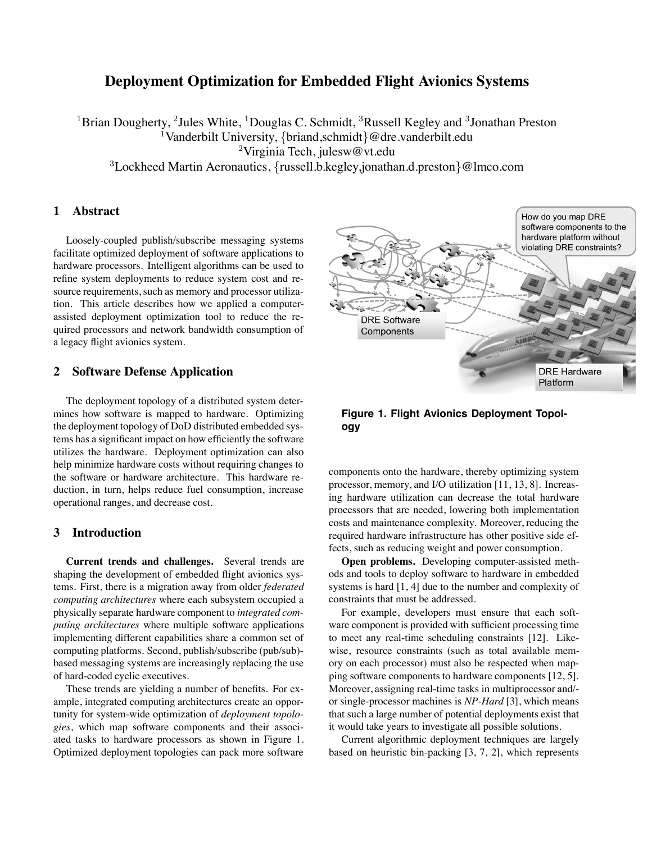# **Deployment Optimization for Embedded Flight Avionics Systems**

<sup>1</sup>Brian Dougherty, <sup>2</sup>Jules White, <sup>1</sup>Douglas C. Schmidt, <sup>3</sup>Russell Kegley and <sup>3</sup>Jonathan Preston <sup>1</sup>Vanderbilt University, {briand, schmidt}@dre.vanderbilt.edu <sup>2</sup>Virginia Tech, julesw@vt.edu <sup>3</sup>Lockheed Martin Aeronautics, {russell.b.kegley,jonathan.d.preston}@lmco.com

## **1 Abstract**

Loosely-coupled publish/subscribe messaging systems facilitate optimized deployment of software applications to hardware processors. Intelligent algorithms can be used to refine system deployments to reduce system cost and resource requirements, such as memory and processor utilization. This article describes how we applied a computerassisted deployment optimization tool to reduce the required processors and network bandwidth consumption of a legacy flight avionics system.

### **2 Software Defense Application**

The deployment topology of a distributed system determines how software is mapped to hardware. Optimizing the deployment topology of DoD distributed embedded systems has a significant impact on how efficiently the software utilizes the hardware. Deployment optimization can also help minimize hardware costs without requiring changes to the software or hardware architecture. This hardware reduction, in turn, helps reduce fuel consumption, increase operational ranges, and decrease cost.

### **3 Introduction**

**Current trends and challenges.** Several trends are shaping the development of embedded flight avionics systems. First, there is a migration away from older *federated computing architectures* where each subsystem occupied a physically separate hardware component to *integrated computing architectures* where multiple software applications implementing different capabilities share a common set of computing platforms. Second, publish/subscribe (pub/sub) based messaging systems are increasingly replacing the use of hard-coded cyclic executives.

These trends are yielding a number of benefits. For example, integrated computing architectures create an opportunity for system-wide optimization of *deployment topologies*, which map software components and their associated tasks to hardware processors as shown in Figure 1. Optimized deployment topologies can pack more software



**Figure 1. Flight Avionics Deployment Topology**

components onto the hardware, thereby optimizing system processor, memory, and I/O utilization [11, 13, 8]. Increasing hardware utilization can decrease the total hardware processors that are needed, lowering both implementation costs and maintenance complexity. Moreover, reducing the required hardware infrastructure has other positive side effects, such as reducing weight and power consumption.

**Open problems.** Developing computer-assisted methods and tools to deploy software to hardware in embedded systems is hard [1, 4] due to the number and complexity of constraints that must be addressed.

For example, developers must ensure that each software component is provided with sufficient processing time to meet any real-time scheduling constraints [12]. Likewise, resource constraints (such as total available memory on each processor) must also be respected when mapping software components to hardware components [12, 5]. Moreover, assigning real-time tasks in multiprocessor and/ or single-processor machines is *NP-Hard* [3], which means that such a large number of potential deployments exist that it would take years to investigate all possible solutions.

Current algorithmic deployment techniques are largely based on heuristic bin-packing [3, 7, 2], which represents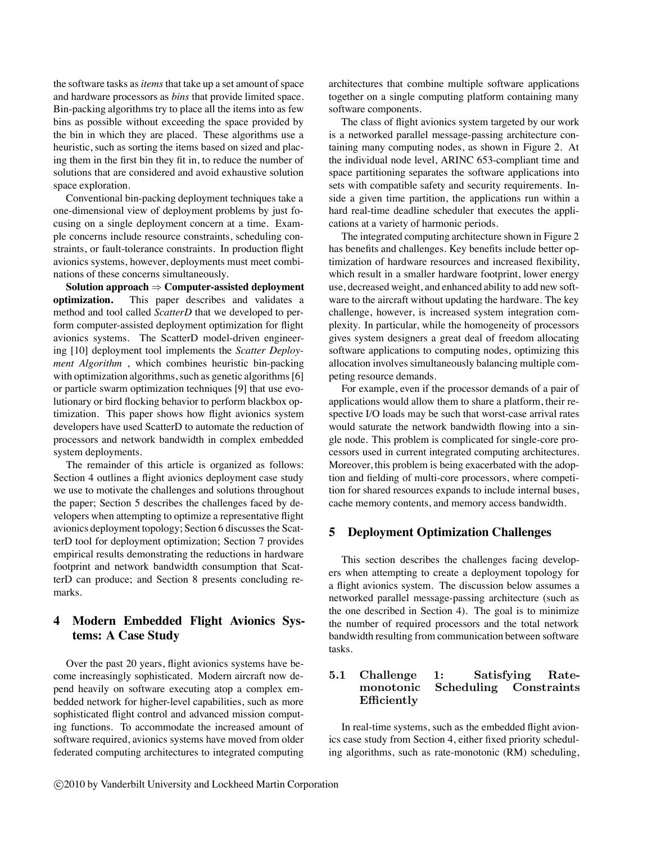the software tasks as*items* that take up a set amount of space and hardware processors as *bins* that provide limited space. Bin-packing algorithms try to place all the items into as few bins as possible without exceeding the space provided by the bin in which they are placed. These algorithms use a heuristic, such as sorting the items based on sized and placing them in the first bin they fit in, to reduce the number of solutions that are considered and avoid exhaustive solution space exploration.

Conventional bin-packing deployment techniques take a one-dimensional view of deployment problems by just focusing on a single deployment concern at a time. Example concerns include resource constraints, scheduling constraints, or fault-tolerance constraints. In production flight avionics systems, however, deployments must meet combinations of these concerns simultaneously.

**Solution approach**  $\Rightarrow$  **Computer-assisted deployment optimization.** This paper describes and validates a This paper describes and validates and method and tool called *ScatterD* that we developed to perform computer-assisted deployment optimization for flight avionics systems. The ScatterD model-driven engineering [10] deployment tool implements the *Scatter Deployment Algorithm* , which combines heuristic bin-packing with optimization algorithms, such as genetic algorithms [6] or particle swarm optimization techniques [9] that use evolutionary or bird flocking behavior to perform blackbox optimization. This paper shows how flight avionics system developers have used ScatterD to automate the reduction of processors and network bandwidth in complex embedded system deployments.

The remainder of this article is organized as follows: Section 4 outlines a flight avionics deployment case study we use to motivate the challenges and solutions throughout the paper; Section 5 describes the challenges faced by developers when attempting to optimize a representative flight avionics deployment topology; Section 6 discusses the ScatterD tool for deployment optimization; Section 7 provides empirical results demonstrating the reductions in hardware footprint and network bandwidth consumption that ScatterD can produce; and Section 8 presents concluding remarks.

## **4 Modern Embedded Flight Avionics Systems: A Case Study**

Over the past 20 years, flight avionics systems have become increasingly sophisticated. Modern aircraft now depend heavily on software executing atop a complex embedded network for higher-level capabilities, such as more sophisticated flight control and advanced mission computing functions. To accommodate the increased amount of software required, avionics systems have moved from older federated computing architectures to integrated computing architectures that combine multiple software applications together on a single computing platform containing many software components.

The class of flight avionics system targeted by our work is a networked parallel message-passing architecture containing many computing nodes, as shown in Figure 2. At the individual node level, ARINC 653-compliant time and space partitioning separates the software applications into sets with compatible safety and security requirements. Inside a given time partition, the applications run within a hard real-time deadline scheduler that executes the applications at a variety of harmonic periods.

The integrated computing architecture shown in Figure 2 has benefits and challenges. Key benefits include better optimization of hardware resources and increased flexibility, which result in a smaller hardware footprint, lower energy use, decreased weight, and enhanced ability to add new software to the aircraft without updating the hardware. The key challenge, however, is increased system integration complexity. In particular, while the homogeneity of processors gives system designers a great deal of freedom allocating software applications to computing nodes, optimizing this allocation involves simultaneously balancing multiple competing resource demands.

For example, even if the processor demands of a pair of applications would allow them to share a platform, their respective I/O loads may be such that worst-case arrival rates would saturate the network bandwidth flowing into a single node. This problem is complicated for single-core processors used in current integrated computing architectures. Moreover, this problem is being exacerbated with the adoption and fielding of multi-core processors, where competition for shared resources expands to include internal buses, cache memory contents, and memory access bandwidth.

## **5 Deployment Optimization Challenges**

This section describes the challenges facing developers when attempting to create a deployment topology for a flight avionics system. The discussion below assumes a networked parallel message-passing architecture (such as the one described in Section 4). The goal is to minimize the number of required processors and the total network bandwidth resulting from communication between software tasks.

### 5.1 Challenge 1: Satisfying Ratemonotonic Scheduling Constraints Efficiently

In real-time systems, such as the embedded flight avionics case study from Section 4, either fixed priority scheduling algorithms, such as rate-monotonic (RM) scheduling,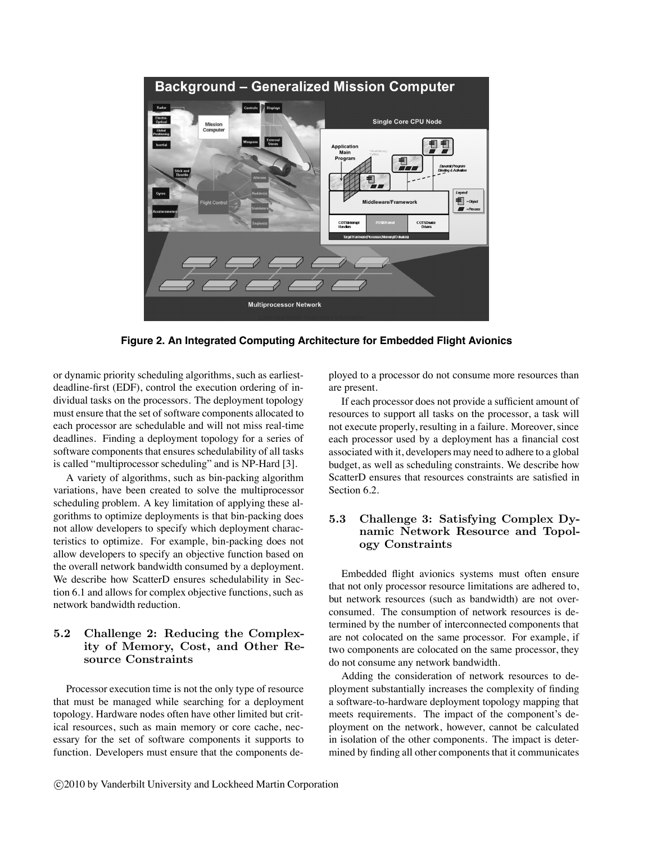

**Figure 2. An Integrated Computing Architecture for Embedded Flight Avionics**

or dynamic priority scheduling algorithms, such as earliestdeadline-first (EDF), control the execution ordering of individual tasks on the processors. The deployment topology must ensure that the set of software components allocated to each processor are schedulable and will not miss real-time deadlines. Finding a deployment topology for a series of software components that ensures schedulability of all tasks is called "multiprocessor scheduling" and is NP-Hard [3].

A variety of algorithms, such as bin-packing algorithm variations, have been created to solve the multiprocessor scheduling problem. A key limitation of applying these algorithms to optimize deployments is that bin-packing does not allow developers to specify which deployment characteristics to optimize. For example, bin-packing does not allow developers to specify an objective function based on the overall network bandwidth consumed by a deployment. We describe how ScatterD ensures schedulability in Section 6.1 and allows for complex objective functions, such as network bandwidth reduction.

## 5.2 Challenge 2: Reducing the Complexity of Memory, Cost, and Other Resource Constraints

Processor execution time is not the only type of resource that must be managed while searching for a deployment topology. Hardware nodes often have other limited but critical resources, such as main memory or core cache, necessary for the set of software components it supports to function. Developers must ensure that the components deployed to a processor do not consume more resources than are present.

If each processor does not provide a sufficient amount of resources to support all tasks on the processor, a task will not execute properly, resulting in a failure. Moreover, since each processor used by a deployment has a financial cost associated with it, developers may need to adhere to a global budget, as well as scheduling constraints. We describe how ScatterD ensures that resources constraints are satisfied in Section 6.2.

## 5.3 Challenge 3: Satisfying Complex Dynamic Network Resource and Topology Constraints

Embedded flight avionics systems must often ensure that not only processor resource limitations are adhered to, but network resources (such as bandwidth) are not overconsumed. The consumption of network resources is determined by the number of interconnected components that are not colocated on the same processor. For example, if two components are colocated on the same processor, they do not consume any network bandwidth.

Adding the consideration of network resources to deployment substantially increases the complexity of finding a software-to-hardware deployment topology mapping that meets requirements. The impact of the component's deployment on the network, however, cannot be calculated in isolation of the other components. The impact is determined by finding all other components that it communicates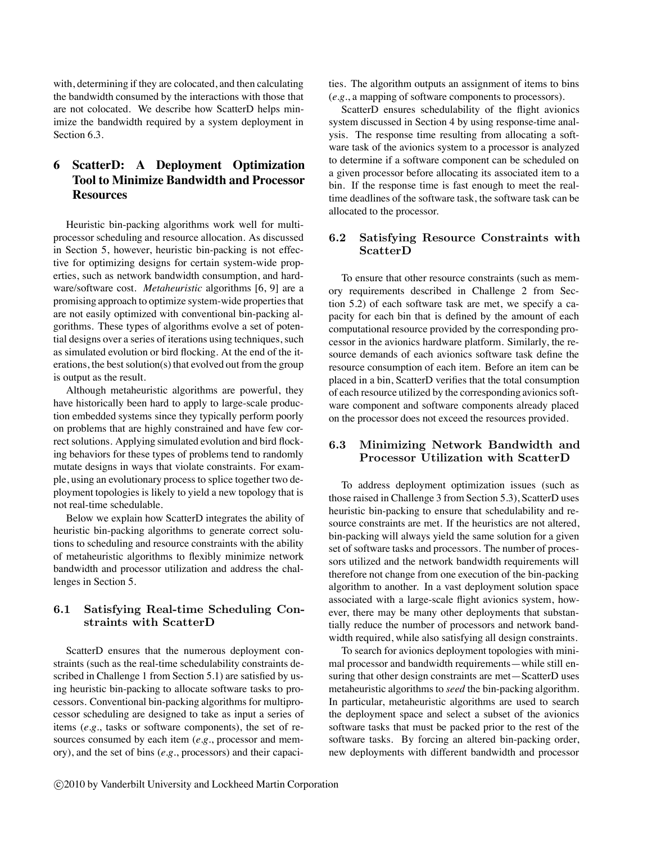with, determining if they are colocated, and then calculating the bandwidth consumed by the interactions with those that are not colocated. We describe how ScatterD helps minimize the bandwidth required by a system deployment in Section 6.3.

# **6 ScatterD: A Deployment Optimization Tool to Minimize Bandwidth and Processor Resources**

Heuristic bin-packing algorithms work well for multiprocessor scheduling and resource allocation. As discussed in Section 5, however, heuristic bin-packing is not effective for optimizing designs for certain system-wide properties, such as network bandwidth consumption, and hardware/software cost. *Metaheuristic* algorithms [6, 9] are a promising approach to optimize system-wide properties that are not easily optimized with conventional bin-packing algorithms. These types of algorithms evolve a set of potential designs over a series of iterations using techniques, such as simulated evolution or bird flocking. At the end of the iterations, the best solution(s) that evolved out from the group is output as the result.

Although metaheuristic algorithms are powerful, they have historically been hard to apply to large-scale production embedded systems since they typically perform poorly on problems that are highly constrained and have few correct solutions. Applying simulated evolution and bird flocking behaviors for these types of problems tend to randomly mutate designs in ways that violate constraints. For example, using an evolutionary process to splice together two deployment topologies is likely to yield a new topology that is not real-time schedulable.

Below we explain how ScatterD integrates the ability of heuristic bin-packing algorithms to generate correct solutions to scheduling and resource constraints with the ability of metaheuristic algorithms to flexibly minimize network bandwidth and processor utilization and address the challenges in Section 5.

## 6.1 Satisfying Real-time Scheduling Constraints with ScatterD

ScatterD ensures that the numerous deployment constraints (such as the real-time schedulability constraints described in Challenge 1 from Section 5.1) are satisfied by using heuristic bin-packing to allocate software tasks to processors. Conventional bin-packing algorithms for multiprocessor scheduling are designed to take as input a series of items (*e.g.*, tasks or software components), the set of resources consumed by each item (*e.g.*, processor and memory), and the set of bins (*e.g.*, processors) and their capacities. The algorithm outputs an assignment of items to bins (*e.g.*, a mapping of software components to processors).

ScatterD ensures schedulability of the flight avionics system discussed in Section 4 by using response-time analysis. The response time resulting from allocating a software task of the avionics system to a processor is analyzed to determine if a software component can be scheduled on a given processor before allocating its associated item to a bin. If the response time is fast enough to meet the realtime deadlines of the software task, the software task can be allocated to the processor.

### 6.2 Satisfying Resource Constraints with ScatterD

To ensure that other resource constraints (such as memory requirements described in Challenge 2 from Section 5.2) of each software task are met, we specify a capacity for each bin that is defined by the amount of each computational resource provided by the corresponding processor in the avionics hardware platform. Similarly, the resource demands of each avionics software task define the resource consumption of each item. Before an item can be placed in a bin, ScatterD verifies that the total consumption of each resource utilized by the corresponding avionics software component and software components already placed on the processor does not exceed the resources provided.

### 6.3 Minimizing Network Bandwidth and Processor Utilization with ScatterD

To address deployment optimization issues (such as those raised in Challenge 3 from Section 5.3), ScatterD uses heuristic bin-packing to ensure that schedulability and resource constraints are met. If the heuristics are not altered, bin-packing will always yield the same solution for a given set of software tasks and processors. The number of processors utilized and the network bandwidth requirements will therefore not change from one execution of the bin-packing algorithm to another. In a vast deployment solution space associated with a large-scale flight avionics system, however, there may be many other deployments that substantially reduce the number of processors and network bandwidth required, while also satisfying all design constraints.

To search for avionics deployment topologies with minimal processor and bandwidth requirements—while still ensuring that other design constraints are met—ScatterD uses metaheuristic algorithms to *seed* the bin-packing algorithm. In particular, metaheuristic algorithms are used to search the deployment space and select a subset of the avionics software tasks that must be packed prior to the rest of the software tasks. By forcing an altered bin-packing order, new deployments with different bandwidth and processor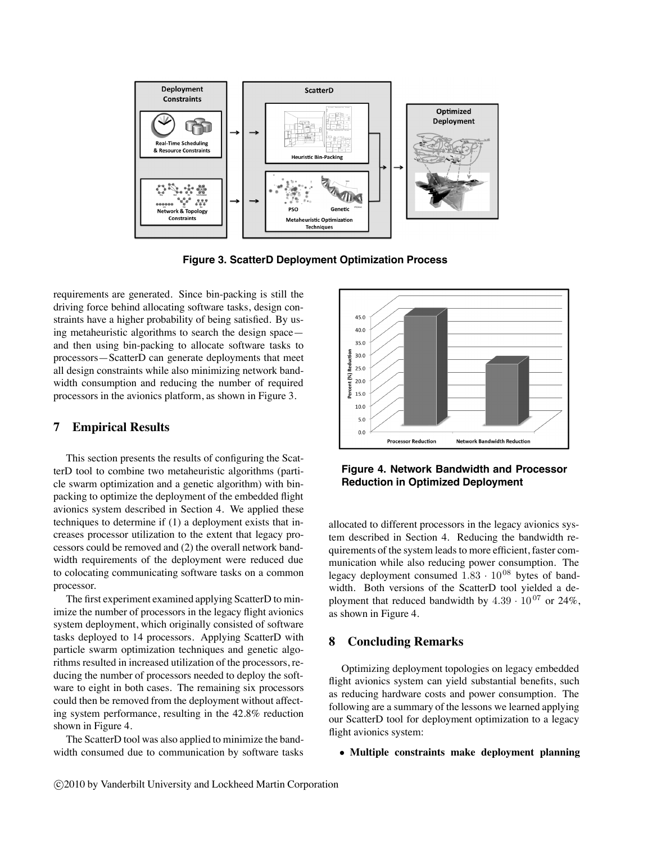

**Figure 3. ScatterD Deployment Optimization Process**

requirements are generated. Since bin-packing is still the driving force behind allocating software tasks, design constraints have a higher probability of being satisfied. By using metaheuristic algorithms to search the design space and then using bin-packing to allocate software tasks to processors—ScatterD can generate deployments that meet all design constraints while also minimizing network bandwidth consumption and reducing the number of required processors in the avionics platform, as shown in Figure 3.

### **7 Empirical Results**

This section presents the results of configuring the ScatterD tool to combine two metaheuristic algorithms (particle swarm optimization and a genetic algorithm) with binpacking to optimize the deployment of the embedded flight avionics system described in Section 4. We applied these techniques to determine if (1) a deployment exists that increases processor utilization to the extent that legacy processors could be removed and (2) the overall network bandwidth requirements of the deployment were reduced due to colocating communicating software tasks on a common processor.

The first experiment examined applying ScatterD to minimize the number of processors in the legacy flight avionics system deployment, which originally consisted of software tasks deployed to 14 processors. Applying ScatterD with particle swarm optimization techniques and genetic algorithms resulted in increased utilization of the processors, reducing the number of processors needed to deploy the software to eight in both cases. The remaining six processors could then be removed from the deployment without affecting system performance, resulting in the 42.8% reduction shown in Figure 4.

The ScatterD tool was also applied to minimize the bandwidth consumed due to communication by software tasks



**Figure 4. Network Bandwidth and Processor Reduction in Optimized Deployment**

allocated to different processors in the legacy avionics system described in Section 4. Reducing the bandwidth requirements of the system leads to more efficient, faster communication while also reducing power consumption. The legacy deployment consumed  $1.83 \cdot 10^{08}$  bytes of bandwidth. Both versions of the ScatterD tool yielded a deployment that reduced bandwidth by  $4.39 \cdot 10^{07}$  or  $24\%$ , as shown in Figure 4.

### **8 Concluding Remarks**

Optimizing deployment topologies on legacy embedded flight avionics system can yield substantial benefits, such as reducing hardware costs and power consumption. The following are a summary of the lessons we learned applying our ScatterD tool for deployment optimization to a legacy flight avionics system:

#### • **Multiple constraints make deployment planning**